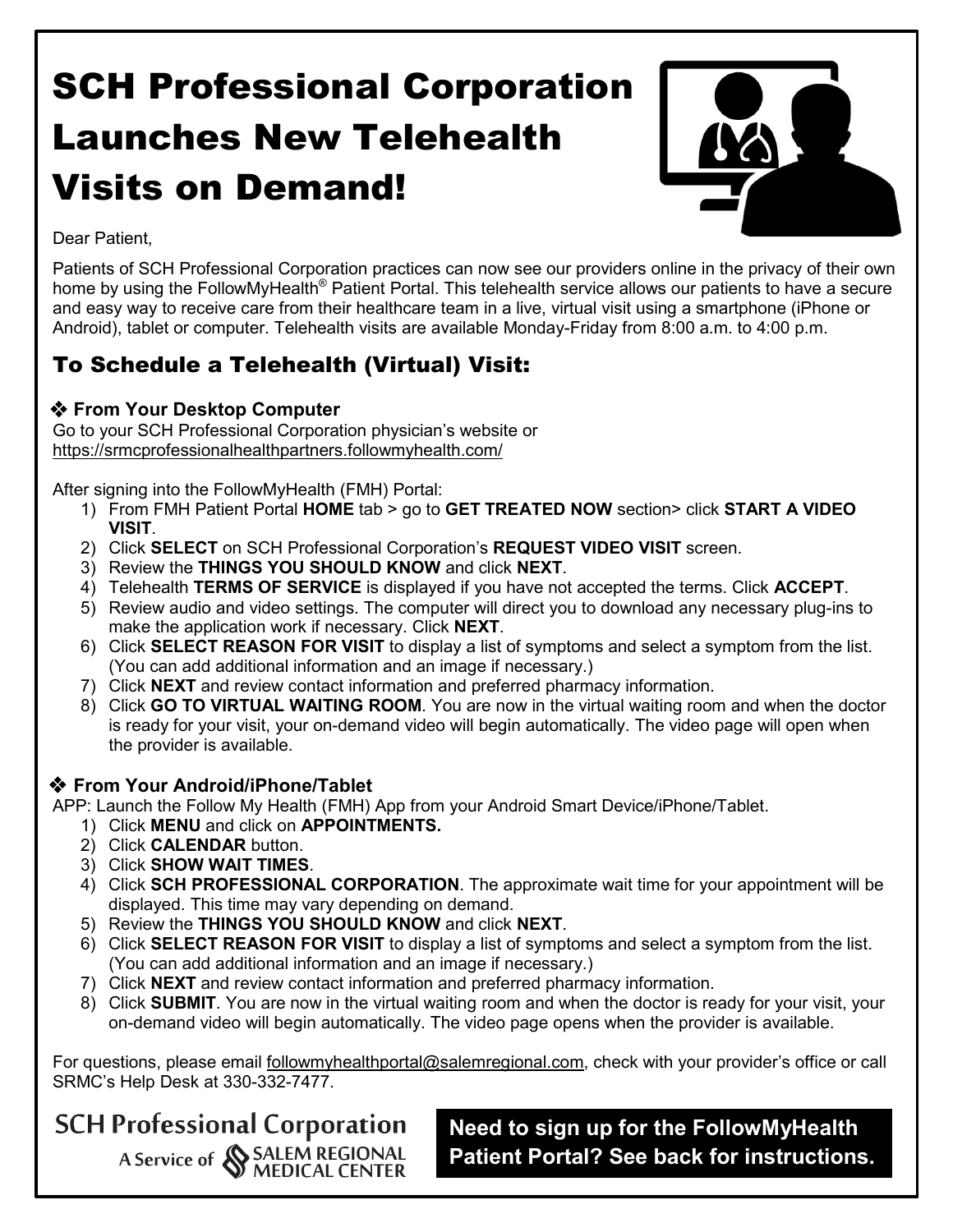# SCH Professional Corporation Launches New Telehealth Visits on Demand!



Dear Patient,

Patients of SCH Professional Corporation practices can now see our providers online in the privacy of their own home by using the FollowMyHealth<sup>®</sup> Patient Portal. This telehealth service allows our patients to have a secure and easy way to receive care from their healthcare team in a live, virtual visit using a smartphone (iPhone or Android), tablet or computer. Telehealth visits are available Monday-Friday from 8:00 a.m. to 4:00 p.m.

## To Schedule a Telehealth (Virtual) Visit:

### **From Your Desktop Computer**

Go to your SCH Professional Corporation physician's website or <https://srmcprofessionalhealthpartners.followmyhealth.com/>

After signing into the FollowMyHealth (FMH) Portal:

- 1) From FMH Patient Portal **HOME** tab > go to **GET TREATED NOW** section> click **START A VIDEO VISIT**.
- 2) Click **SELECT** on SCH Professional Corporation's **REQUEST VIDEO VISIT** screen.
- 3) Review the **THINGS YOU SHOULD KNOW** and click **NEXT**.
- 4) Telehealth **TERMS OF SERVICE** is displayed if you have not accepted the terms. Click **ACCEPT**.
- 5) Review audio and video settings. The computer will direct you to download any necessary plug-ins to make the application work if necessary. Click **NEXT**.
- 6) Click **SELECT REASON FOR VISIT** to display a list of symptoms and select a symptom from the list. (You can add additional information and an image if necessary.)
- 7) Click **NEXT** and review contact information and preferred pharmacy information.
- 8) Click **GO TO VIRTUAL WAITING ROOM**. You are now in the virtual waiting room and when the doctor is ready for your visit, your on-demand video will begin automatically. The video page will open when the provider is available.

### **From Your Android/iPhone/Tablet**

APP: Launch the Follow My Health (FMH) App from your Android Smart Device/iPhone/Tablet.

- 1) Click **MENU** and click on **APPOINTMENTS.**
- 2) Click **CALENDAR** button.
- 3) Click **SHOW WAIT TIMES**.
- 4) Click **SCH PROFESSIONAL CORPORATION**. The approximate wait time for your appointment will be displayed. This time may vary depending on demand.
- 5) Review the **THINGS YOU SHOULD KNOW** and click **NEXT**.
- 6) Click **SELECT REASON FOR VISIT** to display a list of symptoms and select a symptom from the list. (You can add additional information and an image if necessary.)
- 7) Click **NEXT** and review contact information and preferred pharmacy information.
- 8) Click **SUBMIT**. You are now in the virtual waiting room and when the doctor is ready for your visit, your on-demand video will begin automatically. The video page opens when the provider is available.

For questions, please email [followmyhealthportal@salemregional.com,](mailto:followmyhealthportal@salemregional.com) check with your provider's office or call SRMC's Help Desk at 330-332-7477.

## **SCH Professional Corporation** A Service of SALEM REGIONAL<br>MEDICAL CENTER

**Need to sign up for the FollowMyHealth Patient Portal? See back for instructions.**